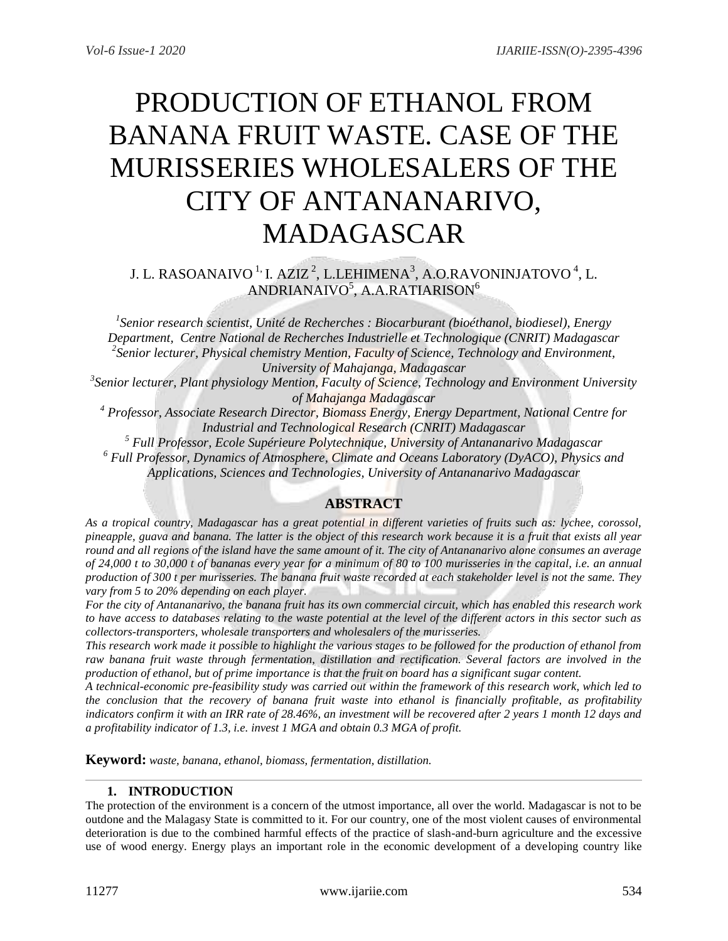# PRODUCTION OF ETHANOL FROM BANANA FRUIT WASTE. CASE OF THE MURISSERIES WHOLESALERS OF THE CITY OF ANTANANARIVO, MADAGASCAR

J. L. RASOANAIVO <sup>1,</sup> I. AZIZ <sup>2</sup>, L.LEHIMENA<sup>3</sup>, A.O.RAVONINJATOVO <sup>4</sup>, L.  $\mathsf{ANDRIANAIVO}^5$ ,  $\mathsf{A.A.RATIARISON}^6$ 

*1 Senior research scientist, Unité de Recherches : Biocarburant (bioéthanol, biodiesel), Energy Department, Centre National de Recherches Industrielle et Technologique (CNRIT) Madagascar 2 Senior lecturer, Physical chemistry Mention, Faculty of Science, Technology and Environment, University of Mahajanga, Madagascar*

*3 Senior lecturer, Plant physiology Mention, Faculty of Science, Technology and Environment University of Mahajanga Madagascar*

*<sup>4</sup> Professor, Associate Research Director, Biomass Energy, Energy Department, National Centre for Industrial and Technological Research (CNRIT) Madagascar*

*<sup>5</sup> Full Professor, Ecole Supérieure Polytechnique, University of Antananarivo Madagascar <sup>6</sup> Full Professor, Dynamics of Atmosphere, Climate and Oceans Laboratory (DyACO), Physics and Applications, Sciences and Technologies, University of Antananarivo Madagascar*

# **ABSTRACT**

*As a tropical country, Madagascar has a great potential in different varieties of fruits such as: lychee, corossol, pineapple, guava and banana. The latter is the object of this research work because it is a fruit that exists all year round and all regions of the island have the same amount of it. The city of Antananarivo alone consumes an average of 24,000 t to 30,000 t of bananas every year for a minimum of 80 to 100 murisseries in the capital, i.e. an annual production of 300 t per murisseries. The banana fruit waste recorded at each stakeholder level is not the same. They vary from 5 to 20% depending on each player.*

*For the city of Antananarivo, the banana fruit has its own commercial circuit, which has enabled this research work to have access to databases relating to the waste potential at the level of the different actors in this sector such as collectors-transporters, wholesale transporters and wholesalers of the murisseries.* 

*This research work made it possible to highlight the various stages to be followed for the production of ethanol from*  raw banana fruit waste through fermentation, distillation and rectification. Several factors are involved in the *production of ethanol, but of prime importance is that the fruit on board has a significant sugar content.* 

*A technical-economic pre-feasibility study was carried out within the framework of this research work, which led to the conclusion that the recovery of banana fruit waste into ethanol is financially profitable, as profitability indicators confirm it with an IRR rate of 28.46%, an investment will be recovered after 2 years 1 month 12 days and a profitability indicator of 1.3, i.e. invest 1 MGA and obtain 0.3 MGA of profit.*

**Keyword:** *waste, banana, ethanol, biomass, fermentation, distillation.*

# **1. INTRODUCTION**

The protection of the environment is a concern of the utmost importance, all over the world. Madagascar is not to be outdone and the Malagasy State is committed to it. For our country, one of the most violent causes of environmental deterioration is due to the combined harmful effects of the practice of slash-and-burn agriculture and the excessive use of wood energy. Energy plays an important role in the economic development of a developing country like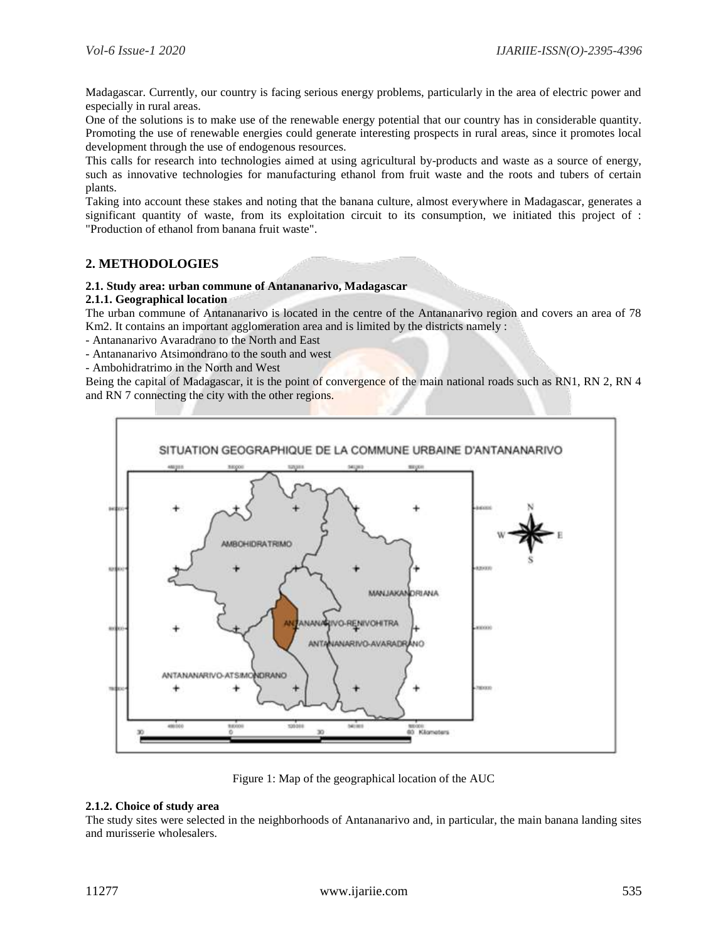Madagascar. Currently, our country is facing serious energy problems, particularly in the area of electric power and especially in rural areas.

One of the solutions is to make use of the renewable energy potential that our country has in considerable quantity. Promoting the use of renewable energies could generate interesting prospects in rural areas, since it promotes local development through the use of endogenous resources.

This calls for research into technologies aimed at using agricultural by-products and waste as a source of energy, such as innovative technologies for manufacturing ethanol from fruit waste and the roots and tubers of certain plants.

Taking into account these stakes and noting that the banana culture, almost everywhere in Madagascar, generates a significant quantity of waste, from its exploitation circuit to its consumption, we initiated this project of : "Production of ethanol from banana fruit waste".

# **2. METHODOLOGIES**

#### **2.1. Study area: urban commune of Antananarivo, Madagascar**

#### **2.1.1. Geographical location**

The urban commune of Antananarivo is located in the centre of the Antananarivo region and covers an area of 78 Km2. It contains an important agglomeration area and is limited by the districts namely :

- Antananarivo Avaradrano to the North and East
- Antananarivo Atsimondrano to the south and west

- Ambohidratrimo in the North and West

Being the capital of Madagascar, it is the point of convergence of the main national roads such as RN1, RN 2, RN 4 and RN 7 connecting the city with the other regions.



Figure 1: Map of the geographical location of the AUC

# **2.1.2. Choice of study area**

The study sites were selected in the neighborhoods of Antananarivo and, in particular, the main banana landing sites and murisserie wholesalers.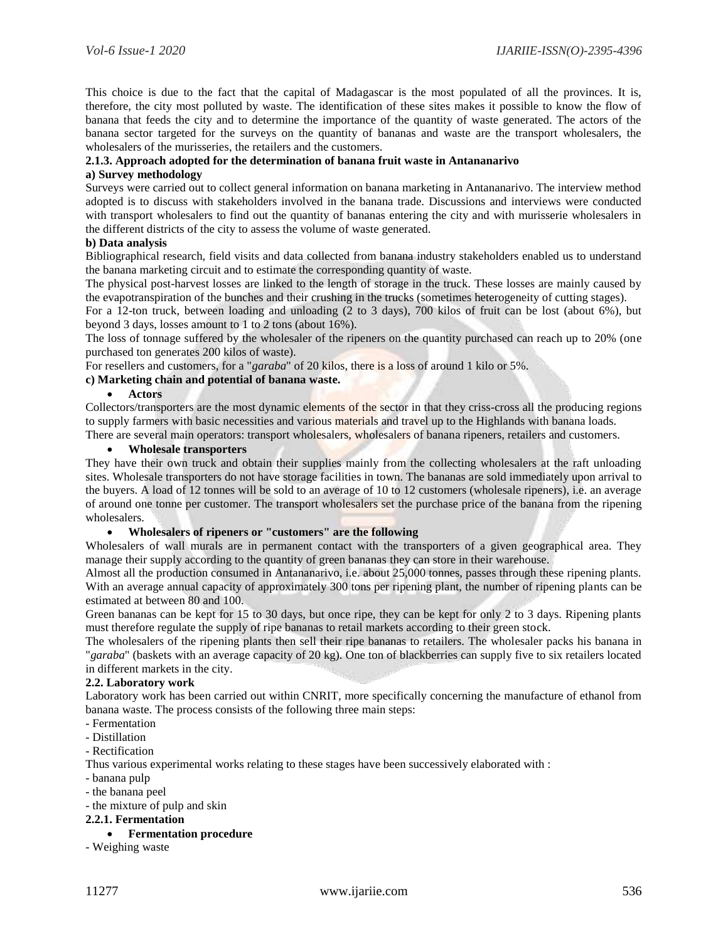This choice is due to the fact that the capital of Madagascar is the most populated of all the provinces. It is, therefore, the city most polluted by waste. The identification of these sites makes it possible to know the flow of banana that feeds the city and to determine the importance of the quantity of waste generated. The actors of the banana sector targeted for the surveys on the quantity of bananas and waste are the transport wholesalers, the wholesalers of the murisseries, the retailers and the customers.

## **2.1.3. Approach adopted for the determination of banana fruit waste in Antananarivo**

#### **a) Survey methodology**

Surveys were carried out to collect general information on banana marketing in Antananarivo. The interview method adopted is to discuss with stakeholders involved in the banana trade. Discussions and interviews were conducted with transport wholesalers to find out the quantity of bananas entering the city and with murisserie wholesalers in the different districts of the city to assess the volume of waste generated.

#### **b) Data analysis**

Bibliographical research, field visits and data collected from banana industry stakeholders enabled us to understand the banana marketing circuit and to estimate the corresponding quantity of waste.

The physical post-harvest losses are linked to the length of storage in the truck. These losses are mainly caused by the evapotranspiration of the bunches and their crushing in the trucks (sometimes heterogeneity of cutting stages).

For a 12-ton truck, between loading and unloading (2 to 3 days), 700 kilos of fruit can be lost (about 6%), but beyond 3 days, losses amount to 1 to 2 tons (about 16%).

The loss of tonnage suffered by the wholesaler of the ripeners on the quantity purchased can reach up to 20% (one purchased ton generates 200 kilos of waste).

For resellers and customers, for a "*garaba*" of 20 kilos, there is a loss of around 1 kilo or 5%.

### **c) Marketing chain and potential of banana waste.**

#### **Actors**

Collectors/transporters are the most dynamic elements of the sector in that they criss-cross all the producing regions to supply farmers with basic necessities and various materials and travel up to the Highlands with banana loads.

There are several main operators: transport wholesalers, wholesalers of banana ripeners, retailers and customers.

# **Wholesale transporters**

They have their own truck and obtain their supplies mainly from the collecting wholesalers at the raft unloading sites. Wholesale transporters do not have storage facilities in town. The bananas are sold immediately upon arrival to the buyers. A load of 12 tonnes will be sold to an average of 10 to 12 customers (wholesale ripeners), i.e. an average of around one tonne per customer. The transport wholesalers set the purchase price of the banana from the ripening wholesalers.

#### **Wholesalers of ripeners or "customers" are the following**

Wholesalers of wall murals are in permanent contact with the transporters of a given geographical area. They manage their supply according to the quantity of green bananas they can store in their warehouse.

Almost all the production consumed in Antananarivo, i.e. about 25,000 tonnes, passes through these ripening plants. With an average annual capacity of approximately 300 tons per ripening plant, the number of ripening plants can be estimated at between 80 and 100.

Green bananas can be kept for 15 to 30 days, but once ripe, they can be kept for only 2 to 3 days. Ripening plants must therefore regulate the supply of ripe bananas to retail markets according to their green stock.

The wholesalers of the ripening plants then sell their ripe bananas to retailers. The wholesaler packs his banana in "*garaba*" (baskets with an average capacity of 20 kg). One ton of blackberries can supply five to six retailers located in different markets in the city.

#### **2.2. Laboratory work**

Laboratory work has been carried out within CNRIT, more specifically concerning the manufacture of ethanol from banana waste. The process consists of the following three main steps:

- Fermentation
- Distillation
- Rectification

Thus various experimental works relating to these stages have been successively elaborated with :

- banana pulp
- the banana peel

### - the mixture of pulp and skin

# **2.2.1. Fermentation**

**Fermentation procedure**

- Weighing waste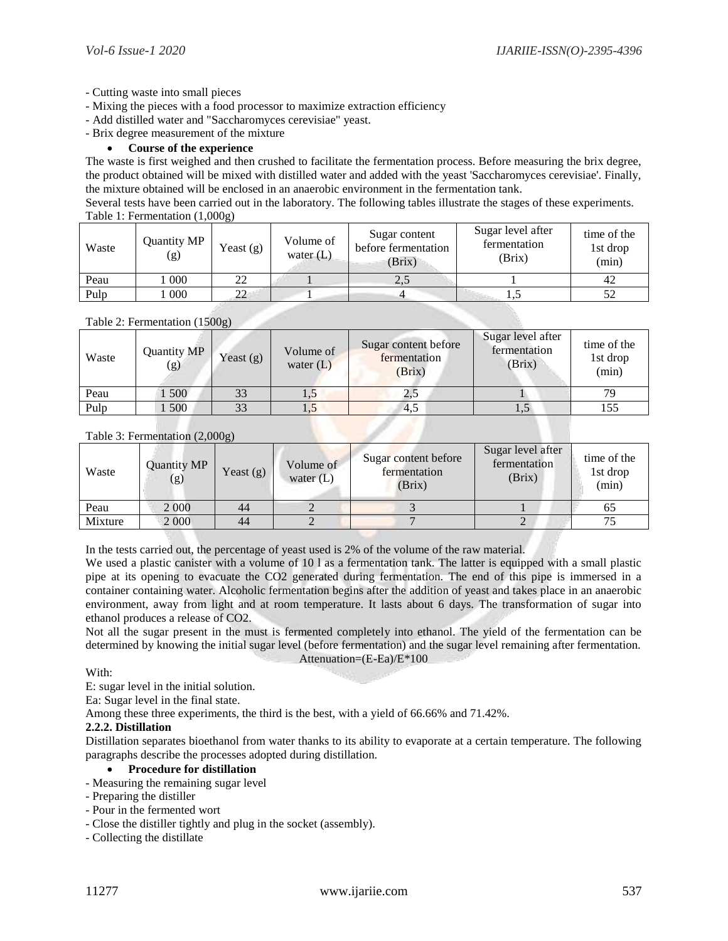- Cutting waste into small pieces
- Mixing the pieces with a food processor to maximize extraction efficiency
- Add distilled water and "Saccharomyces cerevisiae" yeast.
- Brix degree measurement of the mixture

#### **Course of the experience**

The waste is first weighed and then crushed to facilitate the fermentation process. Before measuring the brix degree, the product obtained will be mixed with distilled water and added with the yeast 'Saccharomyces cerevisiae'. Finally, the mixture obtained will be enclosed in an anaerobic environment in the fermentation tank.

Several tests have been carried out in the laboratory. The following tables illustrate the stages of these experiments. Table 1: Fermentation (1,000g)

| Waste | Quantity MP<br>(g) | Yeast $(g)$ | Volume of<br>water $(L)$ | Sugar content<br>before fermentation<br>(Brix) | Sugar level after<br>fermentation<br>(Brix) | time of the<br>1st drop<br>(min) |
|-------|--------------------|-------------|--------------------------|------------------------------------------------|---------------------------------------------|----------------------------------|
| Peau  | 000                | 22          |                          | 2.5                                            |                                             | 42                               |
| Pulp  | 000                | າາ          |                          |                                                |                                             |                                  |

# Table 2: Fermentation (1500g)

| Waste | Quantity MP<br>(g) | Yeast $(g)$ | Volume of<br>water $(L)$ | Sugar content before<br>fermentation<br>(Brix) | Sugar level after<br>fermentation<br>(Brix) | time of the<br>1st drop<br>(min) |
|-------|--------------------|-------------|--------------------------|------------------------------------------------|---------------------------------------------|----------------------------------|
| Peau  | 500                | 33          | 1,9                      | 2.5                                            |                                             | 70                               |
| Pulp  | 500                |             | 1,J                      | 4,5                                            | ن و 1                                       |                                  |

#### Table 3: Fermentation (2,000g)

| Waste   | Quantity MP<br>(g) | Yeast $(g)$ | Volume of<br>water $(L)$ | Sugar content before<br>fermentation<br>(Brix) | Sugar level after<br>fermentation<br>(Brix) | time of the<br>1st drop<br>(min) |
|---------|--------------------|-------------|--------------------------|------------------------------------------------|---------------------------------------------|----------------------------------|
| Peau    | 2 0 0 0            | 44          |                          |                                                |                                             | 65                               |
| Mixture | 2 0 0 0            | 44          |                          |                                                |                                             |                                  |

In the tests carried out, the percentage of yeast used is 2% of the volume of the raw material.

We used a plastic canister with a volume of 10 l as a fermentation tank. The latter is equipped with a small plastic pipe at its opening to evacuate the CO2 generated during fermentation. The end of this pipe is immersed in a container containing water. Alcoholic fermentation begins after the addition of yeast and takes place in an anaerobic environment, away from light and at room temperature. It lasts about 6 days. The transformation of sugar into ethanol produces a release of CO2.

Not all the sugar present in the must is fermented completely into ethanol. The yield of the fermentation can be determined by knowing the initial sugar level (before fermentation) and the sugar level remaining after fermentation. Attenuation=(E-Ea)/E\*100

With:

E: sugar level in the initial solution.

Ea: Sugar level in the final state.

Among these three experiments, the third is the best, with a yield of 66.66% and 71.42%.

#### **2.2.2. Distillation**

Distillation separates bioethanol from water thanks to its ability to evaporate at a certain temperature. The following paragraphs describe the processes adopted during distillation.

# **Procedure for distillation**

- Measuring the remaining sugar level
- Preparing the distiller
- Pour in the fermented wort
- Close the distiller tightly and plug in the socket (assembly).
- Collecting the distillate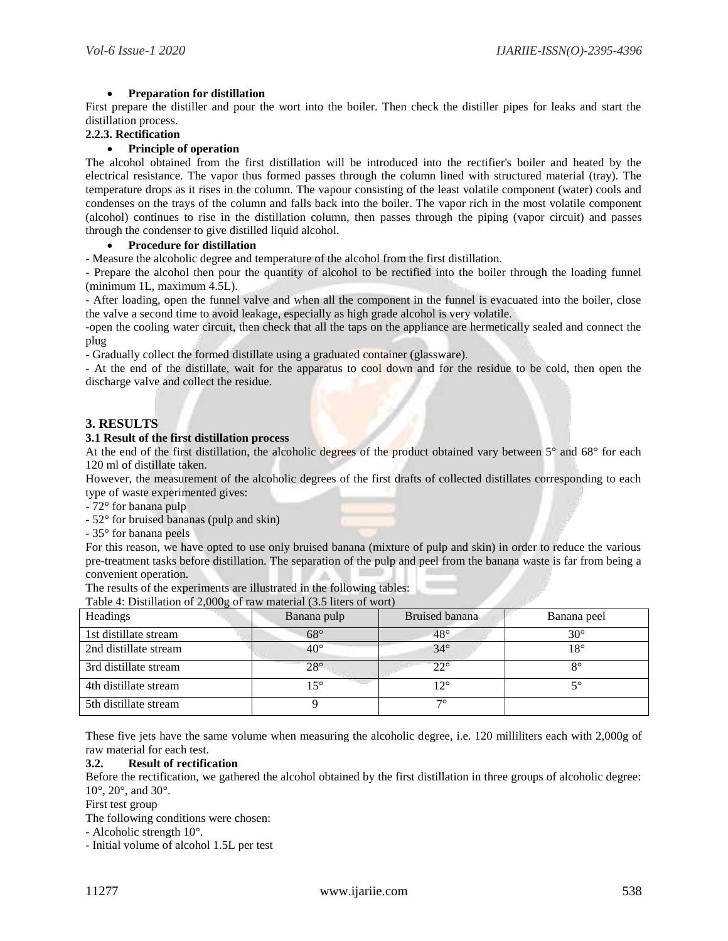# **Preparation for distillation**

First prepare the distiller and pour the wort into the boiler. Then check the distiller pipes for leaks and start the distillation process.

# **2.2.3. Rectification**

# **Principle of operation**

The alcohol obtained from the first distillation will be introduced into the rectifier's boiler and heated by the electrical resistance. The vapor thus formed passes through the column lined with structured material (tray). The temperature drops as it rises in the column. The vapour consisting of the least volatile component (water) cools and condenses on the trays of the column and falls back into the boiler. The vapor rich in the most volatile component (alcohol) continues to rise in the distillation column, then passes through the piping (vapor circuit) and passes through the condenser to give distilled liquid alcohol.

#### **Procedure for distillation**

- Measure the alcoholic degree and temperature of the alcohol from the first distillation.

- Prepare the alcohol then pour the quantity of alcohol to be rectified into the boiler through the loading funnel (minimum 1L, maximum 4.5L).

- After loading, open the funnel valve and when all the component in the funnel is evacuated into the boiler, close the valve a second time to avoid leakage, especially as high grade alcohol is very volatile.

-open the cooling water circuit, then check that all the taps on the appliance are hermetically sealed and connect the plug

- Gradually collect the formed distillate using a graduated container (glassware).

- At the end of the distillate, wait for the apparatus to cool down and for the residue to be cold, then open the discharge valve and collect the residue.

# **3. RESULTS**

# **3.1 Result of the first distillation process**

At the end of the first distillation, the alcoholic degrees of the product obtained vary between 5° and 68° for each 120 ml of distillate taken.

However, the measurement of the alcoholic degrees of the first drafts of collected distillates corresponding to each type of waste experimented gives:

- 72° for banana pulp

- 52° for bruised bananas (pulp and skin)
- 35° for banana peels

For this reason, we have opted to use only bruised banana (mixture of pulp and skin) in order to reduce the various pre-treatment tasks before distillation. The separation of the pulp and peel from the banana waste is far from being a convenient operation.

| The results of the experiments are illustrated in the following tables: |
|-------------------------------------------------------------------------|
| Table 4: Distillation of 2,000g of raw material (3.5 liters of wort)    |

| racio $\alpha$ . Businadon or $\omega$ ,000 $\omega$ , or raw material (3.3 metro or wort) |              |                |              |  |  |  |
|--------------------------------------------------------------------------------------------|--------------|----------------|--------------|--|--|--|
| Headings                                                                                   | Banana pulp  | Bruised banana | Banana peel  |  |  |  |
| 1st distillate stream                                                                      | $68^{\circ}$ | $48^\circ$     | $30^{\circ}$ |  |  |  |
| 2nd distillate stream                                                                      | $40^{\circ}$ | $34^\circ$     | 18°          |  |  |  |
| 3rd distillate stream                                                                      | $28^\circ$   | $22^{\circ}$   | $8^{\circ}$  |  |  |  |
| 4th distillate stream                                                                      | $15^{\circ}$ | $12^{\circ}$   | 50           |  |  |  |
| 5th distillate stream                                                                      |              | 70             |              |  |  |  |

These five jets have the same volume when measuring the alcoholic degree, i.e. 120 milliliters each with 2,000g of raw material for each test.

## **3.2. Result of rectification**

Before the rectification, we gathered the alcohol obtained by the first distillation in three groups of alcoholic degree: 10°, 20°, and 30°.

First test group

The following conditions were chosen:

- Alcoholic strength 10°.

- Initial volume of alcohol 1.5L per test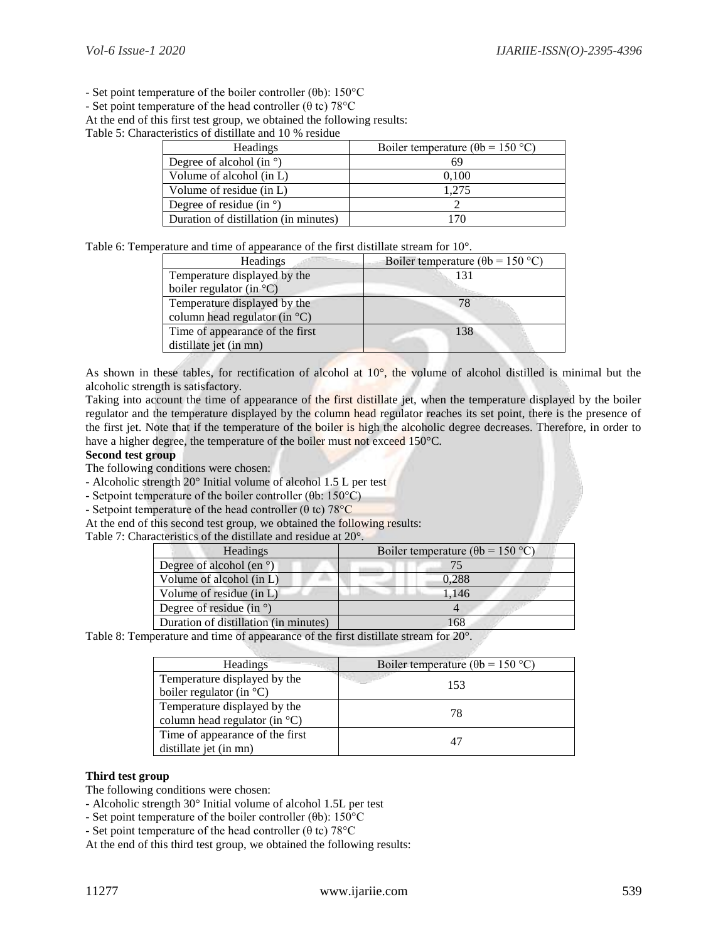- Set point temperature of the boiler controller (θb): 150°C

- Set point temperature of the head controller ( $\theta$  tc) 78°C

At the end of this first test group, we obtained the following results:

Table 5: Characteristics of distillate and 10 % residue

| <b>Headings</b>                       | Boiler temperature ( $\theta$ b = 150 °C) |  |  |
|---------------------------------------|-------------------------------------------|--|--|
| Degree of alcohol (in $\degree$ )     | 69                                        |  |  |
| Volume of alcohol (in L)              | 0.100                                     |  |  |
| Volume of residue (in L)              | 1.275                                     |  |  |
| Degree of residue (in $\degree$ )     |                                           |  |  |
| Duration of distillation (in minutes) | 70.                                       |  |  |

Table 6: Temperature and time of appearance of the first distillate stream for 10°.

| <b>Headings</b>                             | Boiler temperature ( $\theta$ b = 150 °C) |
|---------------------------------------------|-------------------------------------------|
| Temperature displayed by the                | 131                                       |
| boiler regulator (in $\mathrm{^{\circ}C}$ ) |                                           |
| Temperature displayed by the                | 78                                        |
| column head regulator (in $^{\circ}$ C)     |                                           |
| Time of appearance of the first             | 138                                       |
| distillate jet (in mn)                      |                                           |

As shown in these tables, for rectification of alcohol at  $10^{\circ}$ , the volume of alcohol distilled is minimal but the alcoholic strength is satisfactory.

Taking into account the time of appearance of the first distillate jet, when the temperature displayed by the boiler regulator and the temperature displayed by the column head regulator reaches its set point, there is the presence of the first jet. Note that if the temperature of the boiler is high the alcoholic degree decreases. Therefore, in order to have a higher degree, the temperature of the boiler must not exceed 150°C.

#### **Second test group**

The following conditions were chosen:

- Alcoholic strength 20° Initial volume of alcohol 1.5 L per test

- Setpoint temperature of the boiler controller (θb: 150°C)

- Setpoint temperature of the head controller ( $\theta$  tc) 78°C

At the end of this second test group, we obtained the following results:

Table 7: Characteristics of the distillate and residue at 20°.

Table 8: Temperature and time of appearance of the first distillate stream for 20°.

| <b>Headings</b>                                                         | Boiler temperature ( $\theta$ b = 150 °C) |
|-------------------------------------------------------------------------|-------------------------------------------|
| Temperature displayed by the<br>boiler regulator (in $^{\circ}$ C)      | 153                                       |
| Temperature displayed by the<br>column head regulator (in $^{\circ}$ C) | 78                                        |
| Time of appearance of the first<br>distillate jet (in mn)               | 47                                        |

# **Third test group**

The following conditions were chosen:

- Alcoholic strength 30° Initial volume of alcohol 1.5L per test

- Set point temperature of the boiler controller ( $\theta$ b): 150°C

- Set point temperature of the head controller ( $\theta$  tc) 78°C

At the end of this third test group, we obtained the following results: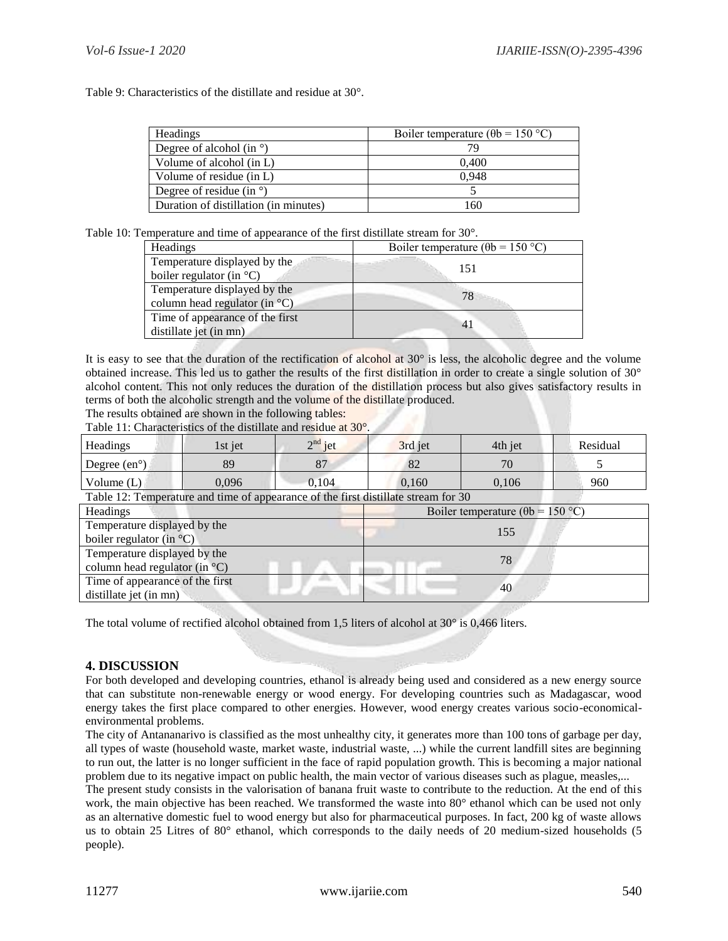Table 9: Characteristics of the distillate and residue at 30°.

| Headings                              | Boiler temperature ( $\theta$ b = 150 °C) |
|---------------------------------------|-------------------------------------------|
| Degree of alcohol (in $\degree$ )     |                                           |
| Volume of alcohol (in L)              | 0.400                                     |
| Volume of residue (in L)              | 0.948                                     |
| Degree of residue (in $\degree$ )     |                                           |
| Duration of distillation (in minutes) | 160                                       |

Table 10: Temperature and time of appearance of the first distillate stream for 30°.

| <b>Headings</b>                    | Boiler temperature ( $\theta$ b = 150 °C) |  |  |
|------------------------------------|-------------------------------------------|--|--|
| Temperature displayed by the       | 151                                       |  |  |
| boiler regulator (in $^{\circ}C$ ) |                                           |  |  |
| Temperature displayed by the       | 78.                                       |  |  |
| column head regulator (in °C)      |                                           |  |  |
| Time of appearance of the first    |                                           |  |  |
| distillate jet (in mn)             |                                           |  |  |

It is easy to see that the duration of the rectification of alcohol at  $30^\circ$  is less, the alcoholic degree and the volume obtained increase. This led us to gather the results of the first distillation in order to create a single solution of 30° alcohol content. This not only reduces the duration of the distillation process but also gives satisfactory results in terms of both the alcoholic strength and the volume of the distillate produced.

The results obtained are shown in the following tables:

Table 11: Characteristics of the distillate and residue at 30°.

| <b>Headings</b>                                                                    | 1st jet | $2nd$ jet | 3rd jet                                   | 4th jet | Residual |  |
|------------------------------------------------------------------------------------|---------|-----------|-------------------------------------------|---------|----------|--|
| Degree $(en^{\circ})$                                                              | 89      | 87        | 82                                        | 70      |          |  |
| Volume $(L)$                                                                       | 0.096   | 0.104     | 0,160                                     | 0,106   | 960      |  |
| Table 12: Temperature and time of appearance of the first distillate stream for 30 |         |           |                                           |         |          |  |
| <b>Headings</b>                                                                    |         |           | Boiler temperature ( $\theta$ b = 150 °C) |         |          |  |
| Temperature displayed by the                                                       |         |           | 155                                       |         |          |  |
| boiler regulator (in $^{\circ}$ C)                                                 |         |           |                                           |         |          |  |
| Temperature displayed by the                                                       |         |           | 78                                        |         |          |  |
| column head regulator (in $^{\circ}$ C)                                            |         |           |                                           |         |          |  |
| Time of appearance of the first                                                    |         |           |                                           |         |          |  |
| distillate jet (in mn)                                                             |         |           |                                           | 40      |          |  |

The total volume of rectified alcohol obtained from 1,5 liters of alcohol at  $30^{\circ}$  is 0,466 liters.

# **4. DISCUSSION**

For both developed and developing countries, ethanol is already being used and considered as a new energy source that can substitute non-renewable energy or wood energy. For developing countries such as Madagascar, wood energy takes the first place compared to other energies. However, wood energy creates various socio-economicalenvironmental problems.

The city of Antananarivo is classified as the most unhealthy city, it generates more than 100 tons of garbage per day, all types of waste (household waste, market waste, industrial waste, ...) while the current landfill sites are beginning to run out, the latter is no longer sufficient in the face of rapid population growth. This is becoming a major national problem due to its negative impact on public health, the main vector of various diseases such as plague, measles,...

The present study consists in the valorisation of banana fruit waste to contribute to the reduction. At the end of this work, the main objective has been reached. We transformed the waste into 80° ethanol which can be used not only as an alternative domestic fuel to wood energy but also for pharmaceutical purposes. In fact, 200 kg of waste allows us to obtain 25 Litres of 80° ethanol, which corresponds to the daily needs of 20 medium-sized households (5 people).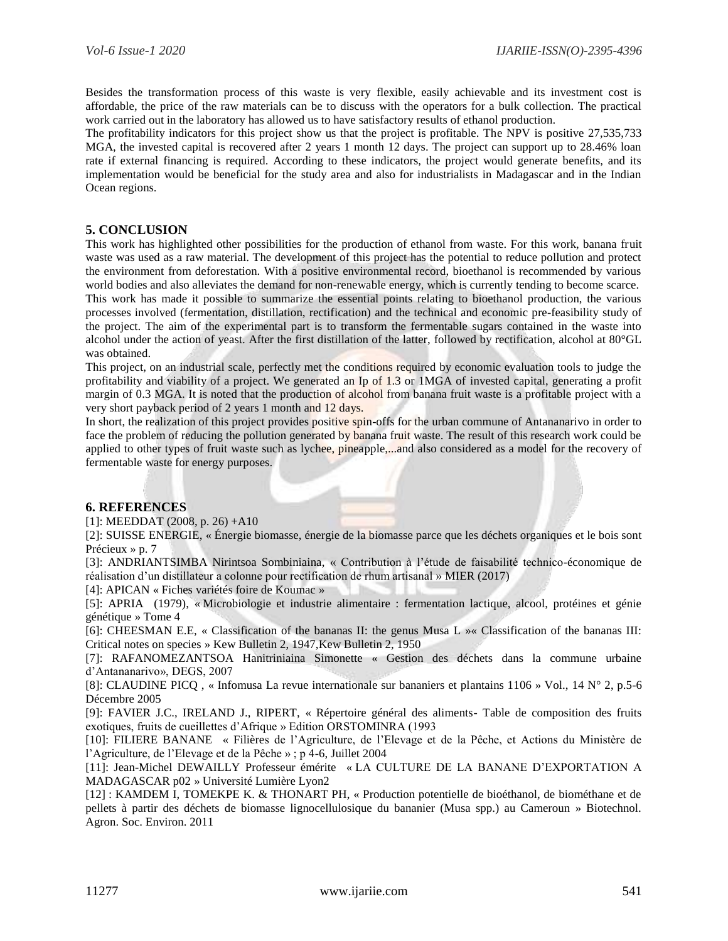Besides the transformation process of this waste is very flexible, easily achievable and its investment cost is affordable, the price of the raw materials can be to discuss with the operators for a bulk collection. The practical work carried out in the laboratory has allowed us to have satisfactory results of ethanol production.

The profitability indicators for this project show us that the project is profitable. The NPV is positive 27,535,733 MGA, the invested capital is recovered after 2 years 1 month 12 days. The project can support up to 28.46% loan rate if external financing is required. According to these indicators, the project would generate benefits, and its implementation would be beneficial for the study area and also for industrialists in Madagascar and in the Indian Ocean regions.

# **5. CONCLUSION**

This work has highlighted other possibilities for the production of ethanol from waste. For this work, banana fruit waste was used as a raw material. The development of this project has the potential to reduce pollution and protect the environment from deforestation. With a positive environmental record, bioethanol is recommended by various world bodies and also alleviates the demand for non-renewable energy, which is currently tending to become scarce. This work has made it possible to summarize the essential points relating to bioethanol production, the various processes involved (fermentation, distillation, rectification) and the technical and economic pre-feasibility study of the project. The aim of the experimental part is to transform the fermentable sugars contained in the waste into alcohol under the action of yeast. After the first distillation of the latter, followed by rectification, alcohol at 80°GL was obtained.

This project, on an industrial scale, perfectly met the conditions required by economic evaluation tools to judge the profitability and viability of a project. We generated an Ip of 1.3 or 1MGA of invested capital, generating a profit margin of 0.3 MGA. It is noted that the production of alcohol from banana fruit waste is a profitable project with a very short payback period of 2 years 1 month and 12 days.

In short, the realization of this project provides positive spin-offs for the urban commune of Antananarivo in order to face the problem of reducing the pollution generated by banana fruit waste. The result of this research work could be applied to other types of fruit waste such as lychee, pineapple,...and also considered as a model for the recovery of fermentable waste for energy purposes.

# **6. REFERENCES**

[1]: MEEDDAT (2008, p. 26) +A10

[2]: SUISSE ENERGIE, « Énergie biomasse, énergie de la biomasse parce que les déchets organiques et le bois sont Précieux » p. 7

[3]: ANDRIANTSIMBA Nirintsoa Sombiniaina, « Contribution à l'étude de faisabilité technico-économique de réalisation d'un distillateur a colonne pour rectification de rhum artisanal » MIER (2017)

[4]: APICAN « Fiches variétés foire de Koumac »

[5]: APRIA (1979), « Microbiologie et industrie alimentaire : fermentation lactique, alcool, protéines et génie génétique » Tome 4

[6]: CHEESMAN E.E, « Classification of the bananas II: the genus Musa L »« Classification of the bananas III: Critical notes on species » Kew Bulletin 2, 1947,Kew Bulletin 2, 1950

[7]: RAFANOMEZANTSOA Hanitriniaina Simonette « Gestion des déchets dans la commune urbaine d'Antananarivo», DEGS, 2007

[8]: CLAUDINE PICQ , « Infomusa La revue internationale sur bananiers et plantains 1106 » Vol., 14 N° 2, p.5-6 Décembre 2005

[9]: FAVIER J.C., IRELAND J., RIPERT, « Répertoire général des aliments- Table de composition des fruits exotiques, fruits de cueillettes d'Afrique » Edition ORSTOMINRA (1993

[10]: FILIERE BANANE « Filières de l'Agriculture, de l'Elevage et de la Pêche, et Actions du Ministère de l'Agriculture, de l'Elevage et de la Pêche » ; p 4-6, Juillet 2004

[11]: Jean-Michel DEWAILLY Professeur émérite « LA CULTURE DE LA BANANE D'EXPORTATION A MADAGASCAR p02 » Université Lumière Lyon2

[12] : KAMDEM I, TOMEKPE K. & THONART PH, « Production potentielle de bioéthanol, de biométhane et de pellets à partir des déchets de biomasse lignocellulosique du bananier (Musa spp.) au Cameroun » Biotechnol. Agron. Soc. Environ. 2011